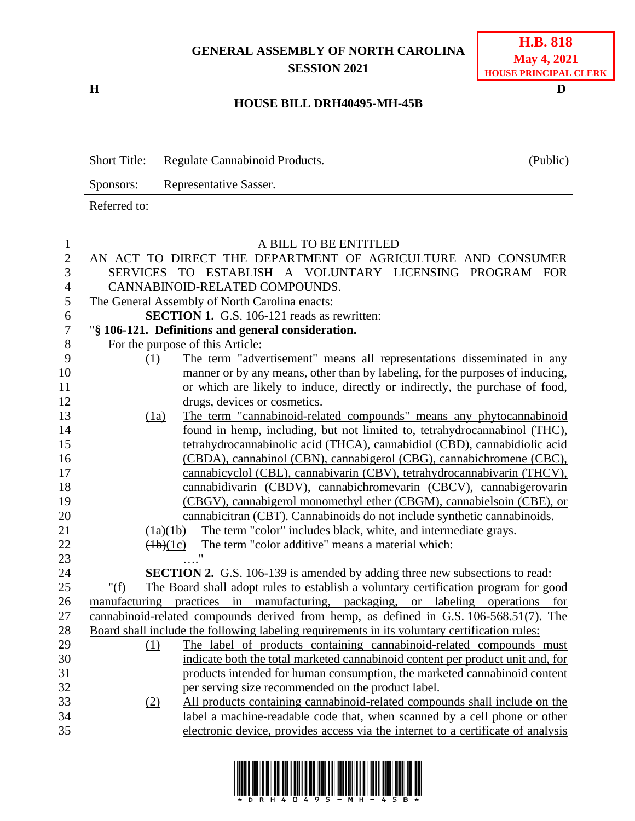## **GENERAL ASSEMBLY OF NORTH CAROLINA SESSION 2021**

**H D**

## **HOUSE BILL DRH40495-MH-45B**

Short Title: Regulate Cannabinoid Products. (Public) Sponsors: Representative Sasser. Referred to:

| $\mathbf{1}$   |                                | A BILL TO BE ENTITLED                                                                         |
|----------------|--------------------------------|-----------------------------------------------------------------------------------------------|
| $\overline{2}$ |                                | AN ACT TO DIRECT THE DEPARTMENT OF AGRICULTURE AND CONSUMER                                   |
| 3              |                                | SERVICES TO ESTABLISH A VOLUNTARY LICENSING PROGRAM FOR                                       |
| $\overline{4}$ |                                | CANNABINOID-RELATED COMPOUNDS.                                                                |
| 5              |                                | The General Assembly of North Carolina enacts:                                                |
| 6              |                                | <b>SECTION 1.</b> G.S. 106-121 reads as rewritten:                                            |
| $\overline{7}$ |                                | "§ 106-121. Definitions and general consideration.                                            |
| 8              |                                | For the purpose of this Article:                                                              |
| 9              | (1)                            | The term "advertisement" means all representations disseminated in any                        |
| 10             |                                | manner or by any means, other than by labeling, for the purposes of inducing,                 |
| 11             |                                | or which are likely to induce, directly or indirectly, the purchase of food,                  |
| 12             |                                | drugs, devices or cosmetics.                                                                  |
| 13             | (1a)                           | The term "cannabinoid-related compounds" means any phytocannabinoid                           |
| 14             |                                | found in hemp, including, but not limited to, tetrahydrocannabinol (THC),                     |
| 15             |                                | tetrahydrocannabinolic acid (THCA), cannabidiol (CBD), cannabidiolic acid                     |
| 16             |                                | (CBDA), cannabinol (CBN), cannabigerol (CBG), cannabichromene (CBC),                          |
| 17             |                                | cannabicyclol (CBL), cannabivarin (CBV), tetrahydrocannabivarin (THCV),                       |
| 18             |                                | cannabidivarin (CBDV), cannabichromevarin (CBCV), cannabigerovarin                            |
| 19             |                                | (CBGV), cannabigerol monomethyl ether (CBGM), cannabielsoin (CBE), or                         |
| 20             |                                | cannabicitran (CBT). Cannabinoids do not include synthetic cannabinoids.                      |
| 21             | $\left(\frac{1}{a}\right)(1b)$ | The term "color" includes black, white, and intermediate grays.                               |
| 22             | (1b)(1c)                       | The term "color additive" means a material which:                                             |
| 23             |                                |                                                                                               |
| 24             |                                | <b>SECTION 2.</b> G.S. 106-139 is amended by adding three new subsections to read:            |
| 25             | " $(f)$                        | The Board shall adopt rules to establish a voluntary certification program for good           |
| 26             |                                | manufacturing practices in manufacturing, packaging, or labeling operations for               |
| 27             |                                | cannabinoid-related compounds derived from hemp, as defined in G.S. 106-568.51(7). The        |
| 28             |                                | Board shall include the following labeling requirements in its voluntary certification rules: |
| 29             | (1)                            | The label of products containing cannabinoid-related compounds must                           |
| 30             |                                | indicate both the total marketed cannabinoid content per product unit and, for                |
| 31             |                                | products intended for human consumption, the marketed cannabinoid content                     |
| 32             |                                | per serving size recommended on the product label.                                            |
| 33<br>34       | (2)                            | All products containing cannabinoid-related compounds shall include on the                    |
| 35             |                                | label a machine-readable code that, when scanned by a cell phone or other                     |
|                |                                | electronic device, provides access via the internet to a certificate of analysis              |

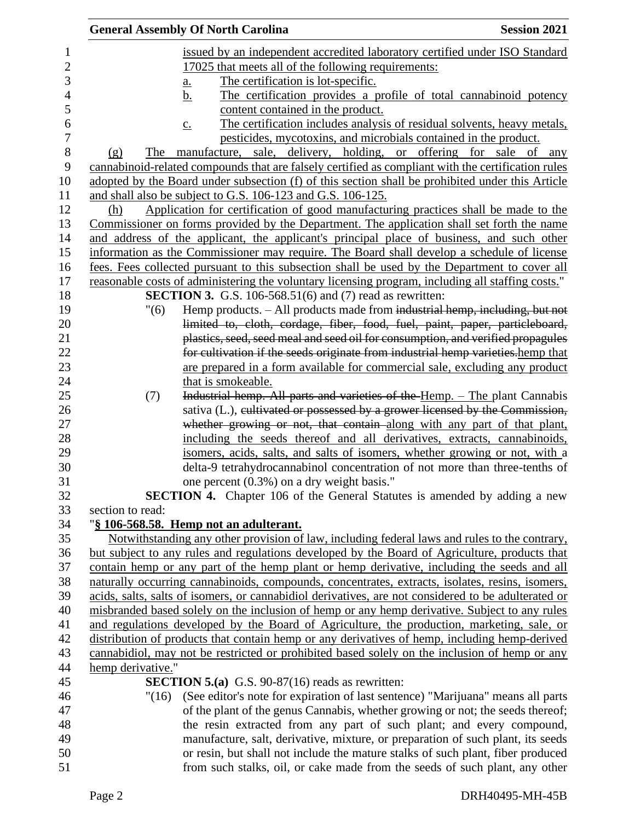|                   | <b>General Assembly Of North Carolina</b>                                                           | <b>Session 2021</b> |
|-------------------|-----------------------------------------------------------------------------------------------------|---------------------|
|                   | issued by an independent accredited laboratory certified under ISO Standard                         |                     |
|                   | 17025 that meets all of the following requirements:                                                 |                     |
|                   | The certification is lot-specific.<br><u>a.</u>                                                     |                     |
|                   | The certification provides a profile of total cannabinoid potency<br><u>b.</u>                      |                     |
|                   | content contained in the product.                                                                   |                     |
|                   | The certification includes analysis of residual solvents, heavy metals,<br>$\underline{c}$ .        |                     |
|                   | pesticides, mycotoxins, and microbials contained in the product.                                    |                     |
| (g)               | The manufacture, sale, delivery, holding, or offering for sale of any                               |                     |
|                   | cannabinoid-related compounds that are falsely certified as compliant with the certification rules  |                     |
|                   | adopted by the Board under subsection (f) of this section shall be prohibited under this Article    |                     |
|                   | and shall also be subject to G.S. 106-123 and G.S. 106-125.                                         |                     |
| (h)               | Application for certification of good manufacturing practices shall be made to the                  |                     |
|                   | Commissioner on forms provided by the Department. The application shall set forth the name          |                     |
|                   | and address of the applicant, the applicant's principal place of business, and such other           |                     |
|                   | information as the Commissioner may require. The Board shall develop a schedule of license          |                     |
|                   | fees. Fees collected pursuant to this subsection shall be used by the Department to cover all       |                     |
|                   | reasonable costs of administering the voluntary licensing program, including all staffing costs."   |                     |
|                   | <b>SECTION 3.</b> G.S. 106-568.51(6) and $(7)$ read as rewritten:                                   |                     |
| "(6)              | Hemp products. - All products made from industrial hemp, including, but not                         |                     |
|                   | limited to, cloth, cordage, fiber, food, fuel, paint, paper, particleboard,                         |                     |
|                   | plastics, seed, seed meal and seed oil for consumption, and verified propagules                     |                     |
|                   | for cultivation if the seeds originate from industrial hemp varieties.hemp that                     |                     |
|                   | are prepared in a form available for commercial sale, excluding any product                         |                     |
|                   | that is smokeable.                                                                                  |                     |
| (7)               | Industrial hemp. All parts and varieties of the Hemp. - The plant Cannabis                          |                     |
|                   | sativa (L.), cultivated or possessed by a grower licensed by the Commission,                        |                     |
|                   | whether growing or not, that contain along with any part of that plant,                             |                     |
|                   | including the seeds thereof and all derivatives, extracts, cannabinoids,                            |                     |
|                   | isomers, acids, salts, and salts of isomers, whether growing or not, with a                         |                     |
|                   | delta-9 tetrahydrocannabinol concentration of not more than three-tenths of                         |                     |
|                   | one percent (0.3%) on a dry weight basis."                                                          |                     |
|                   | <b>SECTION 4.</b> Chapter 106 of the General Statutes is amended by adding a new                    |                     |
| section to read:  |                                                                                                     |                     |
|                   | "§ 106-568.58. Hemp not an adulterant.                                                              |                     |
|                   | Notwithstanding any other provision of law, including federal laws and rules to the contrary,       |                     |
|                   | but subject to any rules and regulations developed by the Board of Agriculture, products that       |                     |
|                   | contain hemp or any part of the hemp plant or hemp derivative, including the seeds and all          |                     |
|                   | naturally occurring cannabinoids, compounds, concentrates, extracts, isolates, resins, isomers,     |                     |
|                   | acids, salts, salts of isomers, or cannabidiol derivatives, are not considered to be adulterated or |                     |
|                   | misbranded based solely on the inclusion of hemp or any hemp derivative. Subject to any rules       |                     |
|                   | and regulations developed by the Board of Agriculture, the production, marketing, sale, or          |                     |
|                   | distribution of products that contain hemp or any derivatives of hemp, including hemp-derived       |                     |
|                   | cannabidiol, may not be restricted or prohibited based solely on the inclusion of hemp or any       |                     |
| hemp derivative." |                                                                                                     |                     |
|                   | <b>SECTION 5.(a)</b> G.S. 90-87(16) reads as rewritten:                                             |                     |
|                   | (See editor's note for expiration of last sentence) "Marijuana" means all parts<br>"(16)            |                     |
|                   | of the plant of the genus Cannabis, whether growing or not; the seeds thereof;                      |                     |
|                   | the resin extracted from any part of such plant; and every compound,                                |                     |
|                   | manufacture, salt, derivative, mixture, or preparation of such plant, its seeds                     |                     |
|                   | or resin, but shall not include the mature stalks of such plant, fiber produced                     |                     |
|                   | from such stalks, oil, or cake made from the seeds of such plant, any other                         |                     |